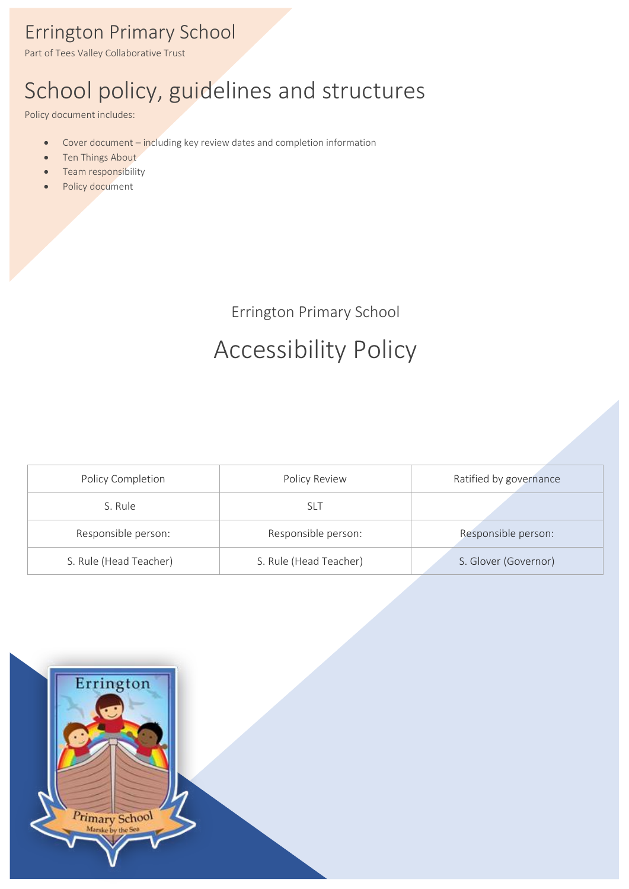### Errington Primary School

Part of Tees Valley Collaborative Trust

# School policy, guidelines and structures

Policy document includes:

- Cover document including key review dates and completion information
- Ten Things About
- Team responsibility
- Policy document

Errington Primary School

# Accessibility Policy

| Policy Completion      | <b>Policy Review</b>   | Ratified by governance |
|------------------------|------------------------|------------------------|
| S. Rule                | SLT                    |                        |
| Responsible person:    | Responsible person:    | Responsible person:    |
| S. Rule (Head Teacher) | S. Rule (Head Teacher) | S. Glover (Governor)   |

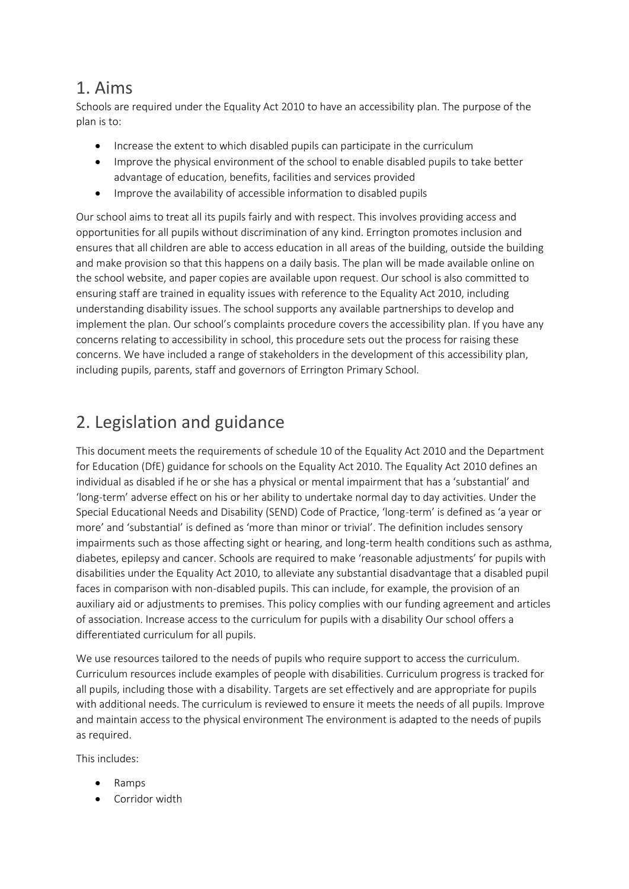#### 1. Aims

Schools are required under the Equality Act 2010 to have an accessibility plan. The purpose of the plan is to:

- Increase the extent to which disabled pupils can participate in the curriculum
- Improve the physical environment of the school to enable disabled pupils to take better advantage of education, benefits, facilities and services provided
- Improve the availability of accessible information to disabled pupils

Our school aims to treat all its pupils fairly and with respect. This involves providing access and opportunities for all pupils without discrimination of any kind. Errington promotes inclusion and ensures that all children are able to access education in all areas of the building, outside the building and make provision so that this happens on a daily basis. The plan will be made available online on the school website, and paper copies are available upon request. Our school is also committed to ensuring staff are trained in equality issues with reference to the Equality Act 2010, including understanding disability issues. The school supports any available partnerships to develop and implement the plan. Our school's complaints procedure covers the accessibility plan. If you have any concerns relating to accessibility in school, this procedure sets out the process for raising these concerns. We have included a range of stakeholders in the development of this accessibility plan, including pupils, parents, staff and governors of Errington Primary School.

### 2. Legislation and guidance

This document meets the requirements of schedule 10 of the Equality Act 2010 and the Department for Education (DfE) guidance for schools on the Equality Act 2010. The Equality Act 2010 defines an individual as disabled if he or she has a physical or mental impairment that has a 'substantial' and 'long-term' adverse effect on his or her ability to undertake normal day to day activities. Under the Special Educational Needs and Disability (SEND) Code of Practice, 'long-term' is defined as 'a year or more' and 'substantial' is defined as 'more than minor or trivial'. The definition includes sensory impairments such as those affecting sight or hearing, and long-term health conditions such as asthma, diabetes, epilepsy and cancer. Schools are required to make 'reasonable adjustments' for pupils with disabilities under the Equality Act 2010, to alleviate any substantial disadvantage that a disabled pupil faces in comparison with non-disabled pupils. This can include, for example, the provision of an auxiliary aid or adjustments to premises. This policy complies with our funding agreement and articles of association. Increase access to the curriculum for pupils with a disability Our school offers a differentiated curriculum for all pupils.

We use resources tailored to the needs of pupils who require support to access the curriculum. Curriculum resources include examples of people with disabilities. Curriculum progress is tracked for all pupils, including those with a disability. Targets are set effectively and are appropriate for pupils with additional needs. The curriculum is reviewed to ensure it meets the needs of all pupils. Improve and maintain access to the physical environment The environment is adapted to the needs of pupils as required.

This includes:

- Ramps
- Corridor width